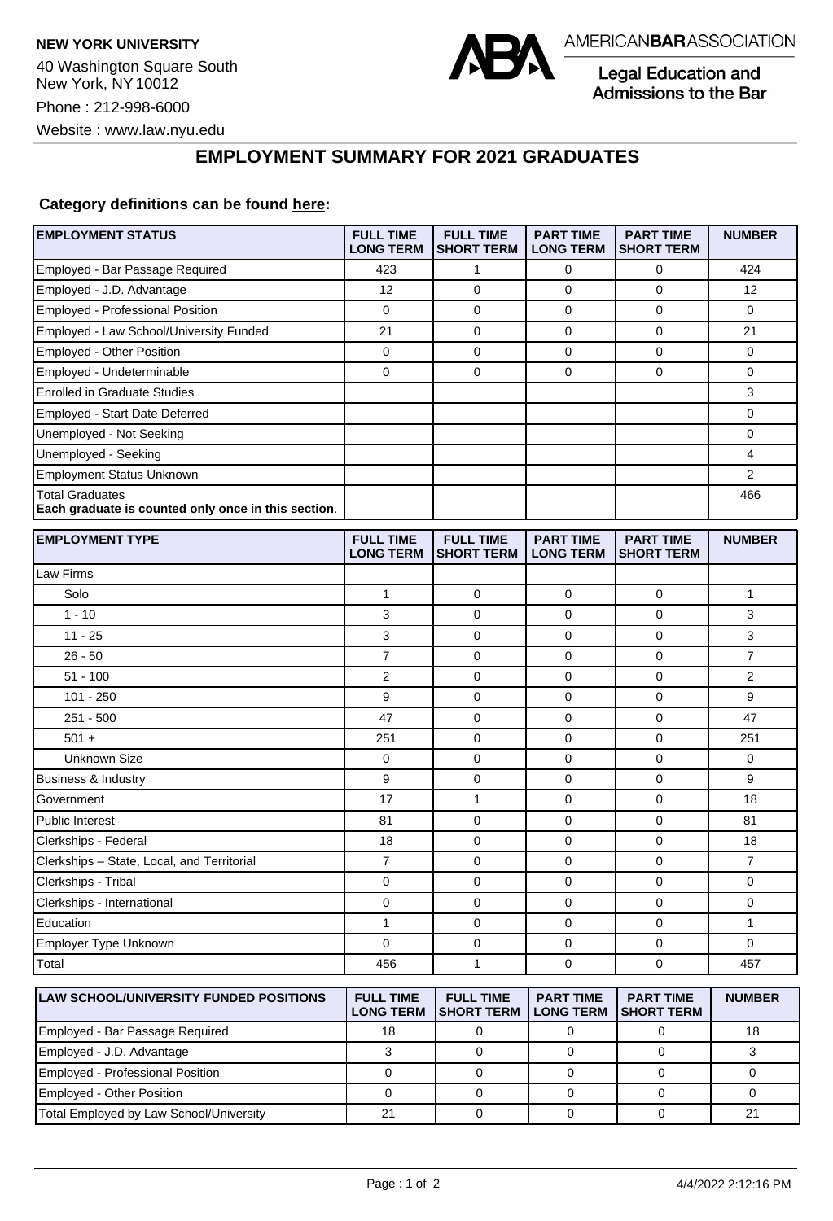

Legal Education and Admissions to the Bar

## **EMPLOYMENT SUMMARY FOR 2021 GRADUATES**

## **Category definitions can be found [here:](https://www.americanbar.org/content/dam/aba/administrative/legal_education_and_admissions_to_the_bar/Questionnaires/2021/2022-employment-protocols-for-the-class-of-2021-september-2021.pdf)**

| <b>EMPLOYMENT STATUS</b>                                                      | <b>FULL TIME</b><br><b>LONG TERM</b> | <b>FULL TIME</b><br><b>SHORT TERM</b> | <b>PART TIME</b><br><b>LONG TERM</b> | <b>PART TIME</b><br><b>SHORT TERM</b> | <b>NUMBER</b>  |
|-------------------------------------------------------------------------------|--------------------------------------|---------------------------------------|--------------------------------------|---------------------------------------|----------------|
| Employed - Bar Passage Required                                               | 423                                  | 1                                     | 0                                    | 0                                     | 424            |
| Employed - J.D. Advantage                                                     | 12                                   | 0                                     | 0                                    | 0                                     | 12             |
| Employed - Professional Position                                              | $\mathbf 0$                          | $\mathbf 0$                           | 0                                    | $\mathbf 0$                           | 0              |
| Employed - Law School/University Funded                                       | 21                                   | 0                                     | 0                                    | 0                                     | 21             |
| Employed - Other Position                                                     | 0                                    | 0                                     | 0                                    | $\mathbf 0$                           | 0              |
| Employed - Undeterminable                                                     | 0                                    | $\mathbf 0$                           | 0                                    | $\mathbf 0$                           | 0              |
| <b>Enrolled in Graduate Studies</b>                                           |                                      |                                       |                                      |                                       | 3              |
| Employed - Start Date Deferred                                                |                                      |                                       |                                      |                                       | 0              |
| Unemployed - Not Seeking                                                      |                                      |                                       |                                      |                                       | 0              |
| Unemployed - Seeking                                                          |                                      |                                       |                                      |                                       | 4              |
| <b>Employment Status Unknown</b>                                              |                                      |                                       |                                      |                                       | $\overline{2}$ |
| <b>Total Graduates</b><br>Each graduate is counted only once in this section. |                                      |                                       |                                      |                                       | 466            |
| <b>EMPLOYMENT TYPE</b>                                                        | <b>FULL TIME</b><br><b>LONG TERM</b> | <b>FULL TIME</b><br><b>SHORT TERM</b> | <b>PART TIME</b><br><b>LONG TERM</b> | <b>PART TIME</b><br><b>SHORT TERM</b> | <b>NUMBER</b>  |
| Law Firms                                                                     |                                      |                                       |                                      |                                       |                |
| Solo                                                                          | 1                                    | 0                                     | 0                                    | $\mathbf 0$                           | 1              |
| $1 - 10$                                                                      | 3                                    | $\mathbf 0$                           | 0                                    | $\mathbf 0$                           | 3              |
| $11 - 25$                                                                     | 3                                    | $\mathbf 0$                           | 0                                    | $\mathbf 0$                           | 3              |
| $26 - 50$                                                                     | 7                                    | $\mathbf 0$                           | 0                                    | 0                                     | 7              |
| $51 - 100$                                                                    | $\overline{2}$                       | 0                                     | 0                                    | $\mathbf 0$                           | 2              |
| $101 - 250$                                                                   | 9                                    | 0                                     | 0                                    | 0                                     | 9              |
| $251 - 500$                                                                   | 47                                   | $\mathbf 0$                           | 0                                    | $\mathbf 0$                           | 47             |
| $501 +$                                                                       | 251                                  | $\mathbf 0$                           | 0                                    | $\mathbf 0$                           | 251            |
| <b>Unknown Size</b>                                                           | 0                                    | 0                                     | 0                                    | $\mathbf 0$                           | 0              |
| Business & Industry                                                           | 9                                    | 0                                     | 0                                    | $\mathbf 0$                           | 9              |
| Government                                                                    | 17                                   | $\mathbf{1}$                          | 0                                    | $\mathbf 0$                           | 18             |
| <b>Public Interest</b>                                                        | 81                                   | $\mathbf 0$                           | 0                                    | $\mathbf 0$                           | 81             |
| Clerkships - Federal                                                          | 18                                   | $\mathbf 0$                           | 0                                    | 0                                     | 18             |
| Clerkships - State, Local, and Territorial                                    | $\overline{7}$                       | $\mathbf 0$                           | 0                                    | $\mathbf 0$                           | $\overline{7}$ |
| Clerkships - Tribal                                                           | 0                                    | 0                                     | 0                                    | 0                                     | 0              |
| Clerkships - International                                                    | 0                                    | $\mathbf 0$                           | 0                                    | $\mathbf 0$                           | 0              |
| Education                                                                     | 1                                    | 0                                     | 0                                    | 0                                     | 1              |
| Employer Type Unknown                                                         | 0                                    | 0                                     | 0                                    | 0                                     | 0              |
| Total                                                                         | 456                                  | 1                                     | 0                                    | 0                                     | 457            |
| <b>LAW SCHOOL/UNIVERSITY FUNDED POSITIONS</b>                                 | <b>FULL TIME</b><br><b>LONG TERM</b> | <b>FULL TIME</b><br><b>SHORT TERM</b> | <b>PART TIME</b><br><b>LONG TERM</b> | <b>PART TIME</b><br><b>SHORT TERM</b> | <b>NUMBER</b>  |
| Employed - Bar Passage Required                                               | 18                                   | 0                                     | $\mathbf 0$                          | 0                                     | 18             |
| Employed - J.D. Advantage                                                     | 3                                    | $\mathbf 0$                           | 0                                    | 0                                     | 3              |

Employed - Professional Position 0 0 0 0 0 Employed - Other Position 0 0 0 0 0 Total Employed by Law School/University | 21 0 0 0 0 21